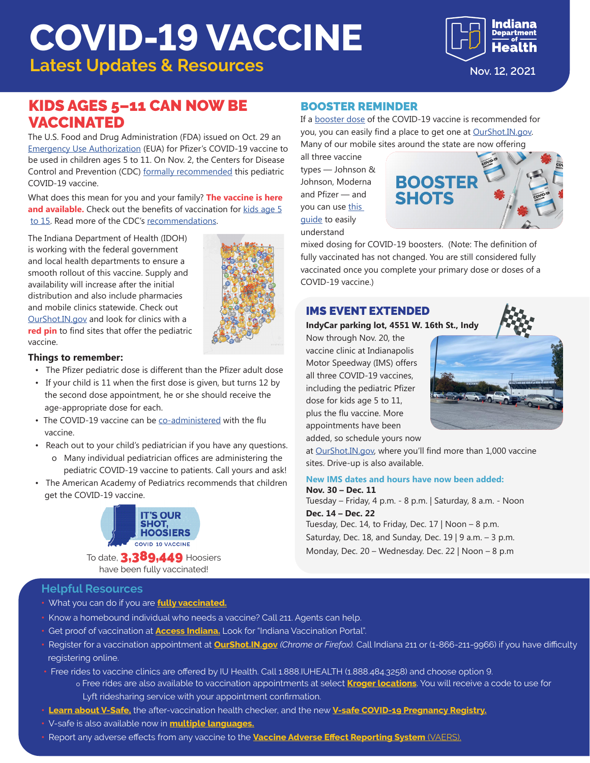# **COVID-19 VACCINE**

**Latest Updates & Resources Nov. 12, 2021** 

# KIDS AGES 5–11 CAN NOW BE VACCINATED

The U.S. Food and Drug Administration (FDA) issued on Oct. 29 an [Emergency Use Authorization](https://www.fda.gov/news-events/press-announcements/fda-authorizes-pfizer-biontech-covid-19-vaccine-emergency-use-children-5-through-11-years-age?fbclid=IwAR2fN_5M07ZvSD_FGdsQX4zdiD9sdYY882kEZR2Ryfxe-vo4OHpR_GhQ3oo) (EUA) for Pfizer's COVID-19 vaccine to be used in children ages 5 to 11. On Nov. 2, the Centers for Disease Control and Prevention (CDC) [formally recommended](https://www.cdc.gov/media/releases/2021/s1102-PediatricCOVID-19Vaccine.html) this pediatric COVID-19 vaccine.

What does this mean for you and your family? **The vaccine is here and available.** Check out the benefits of vaccination for [kids age 5](https://www.coronavirus.in.gov/files/21_Youth%20Pfizer%20fact%20sheet_11-4.pdf) [to 15](https://www.coronavirus.in.gov/files/21_Youth%20Pfizer%20fact%20sheet_11-4.pdf). Read more of the CDC's [recommendations.](https://www.cdc.gov/coronavirus/2019-ncov/vaccines/recommendations/children-teens.html)

The Indiana Department of Health (IDOH) is working with the federal government and local health departments to ensure a smooth rollout of this vaccine. Supply and availability will increase after the initial distribution and also include pharmacies and mobile clinics statewide. Check out [OurShot.IN.gov](https://www.coronavirus.in.gov/vaccine/2680.htm) and look for clinics with a **red pin** to find sites that offer the pediatric vaccine.



#### **Things to remember:**

- The Pfizer pediatric dose is different than the Pfizer adult dose
- If your child is 11 when the first dose is given, but turns 12 by the second dose appointment, he or she should receive the age-appropriate dose for each.
- The COVID-19 vaccine can be [co-administered](https://www.cdc.gov/vaccines/covid-19/clinical-considerations/covid-19-vaccines-us.html#Coadministration) with the flu vaccine.
- Reach out to your child's pediatrician if you have any questions. o Many individual pediatrician offices are administering the
- pediatric COVID-19 vaccine to patients. Call yours and ask! • The American Academy of Pediatrics recommends that children
- get the COVID-19 vaccine.



To date, 3,389,449 Hoosiers have been fully vaccinated!

# BOOSTER REMINDER

If a [booster dose](https://www.cdc.gov/media/releases/2021/p1021-covid-booster.html) of the COVID-19 vaccine is recommended for you, you can easily find a place to get one at **OurShot.IN.gov.** Many of our mobile sites around the state are now offering

all three vaccine types — Johnson & Johnson, Moderna and Pfizer — and you can use this [guide](https://www.coronavirus.in.gov/files/21_Booster-mix-match.pdf) to easily understand



mixed dosing for COVID-19 boosters. (Note: The definition of fully vaccinated has not changed. You are still considered fully vaccinated once you complete your primary dose or doses of a COVID-19 vaccine.)

### IMS EVENT EXTENDED

#### **IndyCar parking lot, 4551 W. 16th St., Indy**

Now through Nov. 20, the vaccine clinic at Indianapolis Motor Speedway (IMS) offers all three COVID-19 vaccines, including the pediatric Pfizer dose for kids age 5 to 11, plus the flu vaccine. More appointments have been added, so schedule yours now



at [OurShot.IN.gov](http://OurShot.IN.gov), where you'll find more than 1,000 vaccine sites. Drive-up is also available.

#### **New IMS dates and hours have now been added: Nov. 30 – Dec. 11**

Tuesday – Friday, 4 p.m. - 8 p.m. | Saturday, 8 a.m. - Noon **Dec. 14 – Dec. 22** Tuesday, Dec. 14, to Friday, Dec. 17 | Noon – 8 p.m. Saturday, Dec. 18, and Sunday, Dec. 19 | 9 a.m.  $-$  3 p.m. Monday, Dec. 20 – Wednesday. Dec. 22 | Noon – 8 p.m

- **Helpful Resources**
- What you can do if you are **[fully vaccinated.](https://www.coronavirus.in.gov/files/21_IN%20Vaccine%20effectiveness_8-9.pdf)**
- Know a homebound individual who needs a vaccine? Call 211. Agents can help.
- Get proof of vaccination at **[Access Indiana.](https://www.in.gov/access/available-services.html)** Look for "Indiana Vaccination Portal".
- Register for a vaccination appointment at **[OurShot.IN.gov](http://OurShot.IN.gov)** *(Chrome or Firefox).* Call Indiana 211 or (1-866-211-9966) if you have difficulty registering online.
- Free rides to vaccine clinics are offered by IU Health. Call 1.888.IUHEALTH (1.888.484.3258) and choose option 9. o Free rides are also available to vaccination appointments at select **[Kroger locations](https://www.kroger.com/rx/guest/get-vaccinated)**. You will receive a code to use for
	- Lyft ridesharing service with your appointment confirmation.
- **[Learn about V-Safe](https://www.cdc.gov/coronavirus/2019-ncov/vaccines/safety/vsafe.html),** the after-vaccination health checker, and the new **[V-safe COVID-19 Pregnancy Registry.](https://www.cdc.gov/coronavirus/2019-ncov/vaccines/safety/vsafepregnancyregistry.html)**
- V-safe is also available now in **[multiple languages.](https://vsafe.cdc.gov/en/)**
- Report any adverse effects from any vaccine to the **[Vaccine Adverse Effect Reporting System](https://vaers.hhs.gov/)** (VAERS).